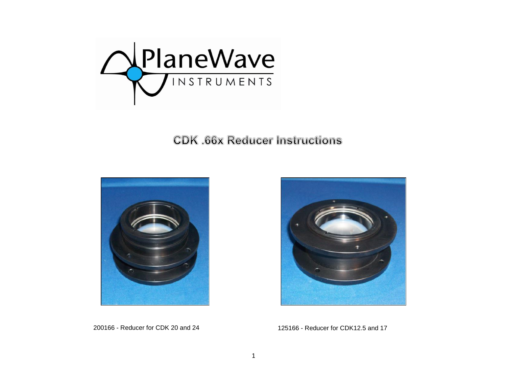

**CDK .66x Reducer Instructions** 





200166 - Reducer for CDK 20 and 24 125166 - Reducer for CDK12.5 and 17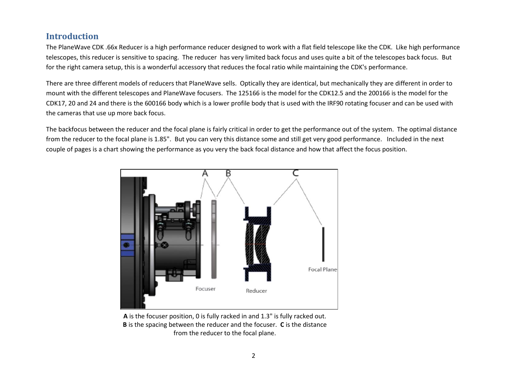# **Introduction**

The PlaneWave CDK .66x Reducer is a high performance reducer designed to work with a flat field telescope like the CDK. Like high performance telescopes, this reducer is sensitive to spacing. The reducer has very limited back focus and uses quite a bit of the telescopes back focus. But for the right camera setup, this is a wonderful accessory that reduces the focal ratio while maintaining the CDK's performance.

There are three different models of reducers that PlaneWave sells. Optically they are identical, but mechanically they are different in order to mount with the different telescopes and PlaneWave focusers. The 125166 is the model for the CDK12.5 and the 200166 is the model for the CDK17, 20 and 24 and there is the 600166 body which is a lower profile body that is used with the IRF90 rotating focuser and can be used with the cameras that use up more back focus.

The backfocus between the reducer and the focal plane is fairly critical in order to get the performance out of the system. The optimal distance from the reducer to the focal plane is 1.85". But you can very this distance some and still get very good performance. Included in the next couple of pages is a chart showing the performance as you very the back focal distance and how that affect the focus position.



**A** is the focuser position, 0 is fully racked in and 1.3" is fully racked out. **B** is the spacing between the reducer and the focuser. **C** is the distance from the reducer to the focal plane.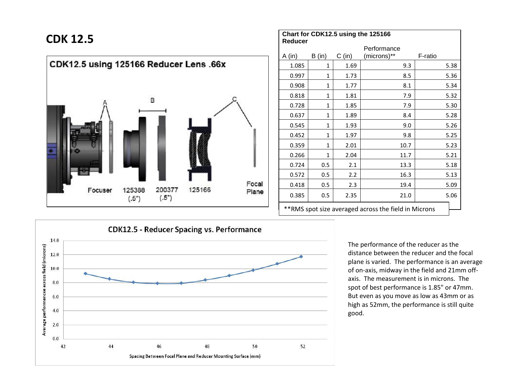

| <b>CDK 12.5</b>                        |                          |        |        |       | Chart for CDK12.5 using the 125166<br>Reducer |              |          |                                                       |         |
|----------------------------------------|--------------------------|--------|--------|-------|-----------------------------------------------|--------------|----------|-------------------------------------------------------|---------|
|                                        |                          |        |        |       | A(in)                                         | B (in)       | $C$ (in) | Performance<br>(microns)**                            | F-ratio |
| CDK12.5 using 125166 Reducer Lens .66x |                          |        |        |       | 1.085                                         | $\mathbf{1}$ | 1.69     | 9.3                                                   | 5.38    |
|                                        |                          |        |        |       | 0.997                                         | 1            | 1.73     | 8.5                                                   | 5.36    |
|                                        |                          |        |        |       | 0.908                                         | $\mathbf{1}$ | 1.77     | 8.1                                                   | 5.34    |
|                                        |                          | B      |        |       | 0.818                                         | $\mathbf{1}$ | 1.81     | 7.9                                                   | 5.32    |
|                                        |                          |        |        |       | 0.728                                         | 1            | 1.85     | 7.9                                                   | 5.30    |
|                                        |                          |        |        |       | 0.637                                         | $\mathbf{1}$ | 1.89     | 8.4                                                   | 5.28    |
|                                        |                          |        |        |       | 0.545                                         | $\mathbf{1}$ | 1.93     | 9.0                                                   | 5.26    |
|                                        |                          |        |        |       | 0.452                                         | $\mathbf{1}$ | 1.97     | 9.8                                                   | 5.25    |
|                                        |                          |        |        |       | 0.359                                         | $\mathbf{1}$ | 2.01     | 10.7                                                  | 5.23    |
|                                        |                          |        |        |       | 0.266                                         | $\mathbf{1}$ | 2.04     | 11.7                                                  | 5.21    |
|                                        |                          |        |        |       | 0.724                                         | 0.5          | 2.1      | 13.3                                                  | 5.18    |
|                                        |                          |        |        |       | 0.572                                         | 0.5          | 2.2      | 16.3                                                  | 5.13    |
|                                        |                          | 200377 | 125166 | Focal | 0.418                                         | 0.5          | 2.3      | 19.4                                                  | 5.09    |
| Focuser                                | 125388<br>(.5")<br>(.5") | Plane  | 0.385  | 0.5   | 2.35                                          | 21.0         | 5.06     |                                                       |         |
|                                        |                          |        |        |       |                                               |              |          | ** RMS spot size averaged across the field in Microns |         |

**CDK12.5 - Reducer Spacing vs. Performance** 14.0 Average performancxe across field (microns) 12.0 10.0  $8.0$  $6.0$  $4.0$  $2.0$  $0.0$ 42  $44$ 46 48 50 52 Spacing Between Focal Plane and Reducer Mounting Surface (mm)

The performance of the reducer as the distance between the reducer and the focal plane is varied. The performance is an average of on-axis, midway in the field and 21mm offaxis. The measurement is in microns. The spot of best performance is 1.85" or 47mm. But even as you move as low as 43mm or as high as 52mm, the performance is still quite good.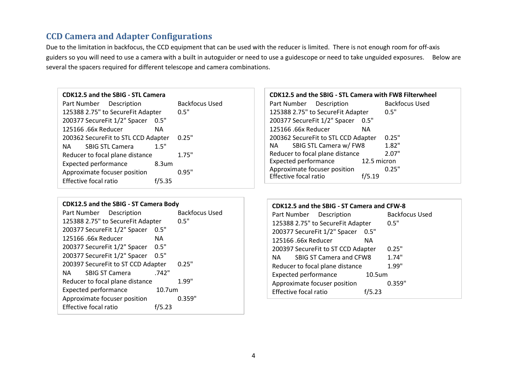# **CCD Camera and Adapter Configurations**

Due to the limitation in backfocus, the CCD equipment that can be used with the reducer is limited. There is not enough room for off-axis guiders so you will need to use a camera with a built in autoguider or need to use a guidescope or need to take unguided exposures. Below are several the spacers required for different telescope and camera combinations.

#### **CDK12.5 and the SBIG - STL Camera**

Part Number Description Backfocus Used 125388 2.75" to SecureFit Adapter 0.5" 200377 SecureFit 1/2" Spacer 0.5" 125166 .66x Reducer NA 200362 SecureFit to STL CCD Adapter 0.25" NA SBIG STL Camera 1.5" Reducer to focal plane distance 1.75" Expected performance 8.3um Approximate focuser position 0.95" Effective focal ratio f/5.35

#### **CDK12.5 and the SBIG - ST Camera Body**

| Part Number Description            |           | <b>Backfocus Used</b> |
|------------------------------------|-----------|-----------------------|
| 125388 2.75" to SecureFit Adapter  |           | 0.5"                  |
| 200377 SecureFit 1/2" Spacer       | 0.5"      |                       |
| 125166.66x Reducer                 | <b>NA</b> |                       |
| 200377 SecureFit 1/2" Spacer       | 0.5"      |                       |
| 200377 SecureFit 1/2" Spacer       | 0.5"      |                       |
| 200397 SecureFit to ST CCD Adapter |           | 0.25"                 |
| <b>SBIG ST Camera</b><br>NA.       | .742"     |                       |
| Reducer to focal plane distance    |           | 1.99"                 |
| <b>Expected performance</b>        | 10.7um    |                       |
| Approximate focuser position       |           | 0.359"                |
| <b>Effective focal ratio</b>       | 5.23      |                       |

### **CDK12.5 and the SBIG - STL Camera with FW8 Filterwheel** Part Number Description Backfocus Used 125388 2.75" to SecureFit Adapter 0.5" 200377 SecureFit 1/2" Spacer 0.5" 125166 .66x Reducer NA 200362 SecureFit to STL CCD Adapter 0.25" NA SBIG STL Camera w/ FW8 1.82" Reducer to focal plane distance 2.07"<br>Expected performance 12.5 micron Expected performance 12.5 micron<br>Approximate focuser position 0.25" Approximate focuser position<br>Effective focal ratio f/5.19 Effective focal ratio

| CDK12.5 and the SBIG - ST Camera and CFW-8 |                    |                |
|--------------------------------------------|--------------------|----------------|
| Part Number Description                    |                    | Backfocus Used |
| 125388 2.75" to SecureFit Adapter          |                    | 0.5"           |
| 200377 SecureFit 1/2" Spacer               | 0.5"               |                |
| 125166 .66x Reducer                        | ΝA                 |                |
| 200397 SecureFit to ST CCD Adapter         |                    | 0.25"          |
| <b>SBIG ST Camera and CFW8</b><br>NA.      |                    | 1.74"          |
| Reducer to focal plane distance            |                    | 1.99"          |
| <b>Expected performance</b>                | 10.5 <sub>um</sub> |                |
| Approximate focuser position               |                    | 0.359"         |
| Effective focal ratio                      | 5.23               |                |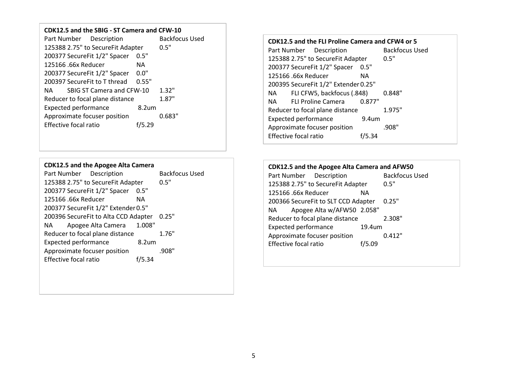### **CDK12.5 and the SBIG - ST Camera and CFW-10**

| Part Number Description           | <b>Backfocus Used</b> |       |
|-----------------------------------|-----------------------|-------|
| 125388 2.75" to SecureFit Adapter |                       | 0.5"  |
| 200377 SecureFit 1/2" Spacer      | 0.5"                  |       |
| 125166 .66x Reducer               | NA.                   |       |
| 200377 SecureFit 1/2" Spacer      | 0.0"                  |       |
| 200397 SecureFit to T thread      | 0.55"                 |       |
| SBIG ST Camera and CFW-10<br>NA   |                       | 1.32" |
| Reducer to focal plane distance   |                       | 1.87" |
| <b>Expected performance</b>       | 8.2 <sub>um</sub>     |       |
| Approximate focuser position      | 0.683"                |       |
| Effective focal ratio             | /5.29                 |       |

#### **CDK12.5 and the Apogee Alta Camera**

| Part Number Description              |                   | <b>Backfocus Used</b> |
|--------------------------------------|-------------------|-----------------------|
| 125388 2.75" to SecureFit Adapter    |                   | 0.5"                  |
| 200377 SecureFit 1/2" Spacer         | 0.5"              |                       |
| 125166 .66x Reducer                  | ΝA                |                       |
| 200377 SecureFit 1/2" Extender 0.5"  |                   |                       |
| 200396 SecureFit to Alta CCD Adapter |                   | 0.25"                 |
| Apogee Alta Camera<br>NA L           | 1.008"            |                       |
| Reducer to focal plane distance      |                   | 1.76"                 |
| <b>Expected performance</b>          | 8.2 <sub>um</sub> |                       |
| Approximate focuser position         |                   | .908"                 |
| Effective focal ratio                | f/5.34            |                       |
|                                      |                   |                       |

#### **CDK12.5 and the FLI Proline Camera and CFW4 or 5**

| Part Number Description                          | <b>Backfocus Used</b> |
|--------------------------------------------------|-----------------------|
| 125388 2.75" to SecureFit Adapter                | 0.5"                  |
| 200377 SecureFit 1/2" Spacer<br>0.5"             |                       |
| 125166 .66x Reducer<br>ΝA                        |                       |
| 200395 SecureFit 1/2" Extender 0.25"             |                       |
| FLI CFW5, backfocus (.848)<br>NA L               | 0.848"                |
| NA FLI Proline Camera<br>0.877"                  |                       |
| Reducer to focal plane distance                  | 1.975"                |
| <b>Expected performance</b><br>9.4 <sub>um</sub> |                       |
| Approximate focuser position                     | .908"                 |
| Effective focal ratio<br>5.34                    |                       |

# **CDK12.5 and the Apogee Alta Camera and AFW50**

Part Number Description Back<br>125388 2.75" to Secure Fit Adapter 0.5" 125388 2.75" to SecureFit Adapter<br>125166 .66x Reducer NA 125166 .66x Reducer NA 200366 SecureFit to SLT CCD Adapter 0.25" NA Apogee Alta w/AFW50 2.058" Reducer to focal plane distance 2.308" Expected performance 19.4um Approximate focuser position 0.412" Effective focal ratio f/5.09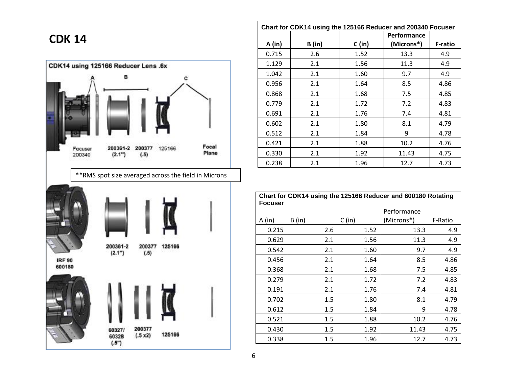# **CDK 14**







| Chart for CDK14 using the 125166 Reducer and 200340 Focuser |        |        |                    |                |  |
|-------------------------------------------------------------|--------|--------|--------------------|----------------|--|
|                                                             |        |        | <b>Performance</b> |                |  |
| A(in)                                                       | B (in) | C (in) | (Microns*)         | <b>F-ratio</b> |  |
| 0.715                                                       | 2.6    | 1.52   | 13.3               | 4.9            |  |
| 1.129                                                       | 2.1    | 1.56   | 11.3               | 4.9            |  |
| 1.042                                                       | 2.1    | 1.60   | 9.7                | 4.9            |  |
| 0.956                                                       | 2.1    | 1.64   | 8.5                | 4.86           |  |
| 0.868                                                       | 2.1    | 1.68   | 7.5                | 4.85           |  |
| 0.779                                                       | 2.1    | 1.72   | 7.2                | 4.83           |  |
| 0.691                                                       | 2.1    | 1.76   | 7.4                | 4.81           |  |
| 0.602                                                       | 2.1    | 1.80   | 8.1                | 4.79           |  |
| 0.512                                                       | 2.1    | 1.84   | 9                  | 4.78           |  |
| 0.421                                                       | 2.1    | 1.88   | 10.2               | 4.76           |  |
| 0.330                                                       | 2.1    | 1.92   | 11.43              | 4.75           |  |
| 0.238                                                       | 2.1    | 1.96   | 12.7               | 4.73           |  |

| Chart for CDK14 using the 125166 Reducer and 600180 Rotating<br><b>Focuser</b> |        |        |             |         |  |  |
|--------------------------------------------------------------------------------|--------|--------|-------------|---------|--|--|
|                                                                                |        |        | Performance |         |  |  |
| A (in)                                                                         | B (in) | C (in) | (Microns*)  | F-Ratio |  |  |
| 0.215                                                                          | 2.6    | 1.52   | 13.3        | 4.9     |  |  |
| 0.629                                                                          | 2.1    | 1.56   | 11.3        | 4.9     |  |  |
| 0.542                                                                          | 2.1    | 1.60   | 9.7         | 4.9     |  |  |
| 0.456                                                                          | 2.1    | 1.64   | 8.5         | 4.86    |  |  |
| 0.368                                                                          | 2.1    | 1.68   | 7.5         | 4.85    |  |  |
| 0.279                                                                          | 2.1    | 1.72   | 7.2         | 4.83    |  |  |
| 0.191                                                                          | 2.1    | 1.76   | 7.4         | 4.81    |  |  |
| 0.702                                                                          | 1.5    | 1.80   | 8.1         | 4.79    |  |  |
| 0.612                                                                          | 1.5    | 1.84   | 9           | 4.78    |  |  |
| 0.521                                                                          | 1.5    | 1.88   | 10.2        | 4.76    |  |  |
| 0.430                                                                          | 1.5    | 1.92   | 11.43       | 4.75    |  |  |
| 0.338                                                                          | 1.5    | 1.96   | 12.7        | 4.73    |  |  |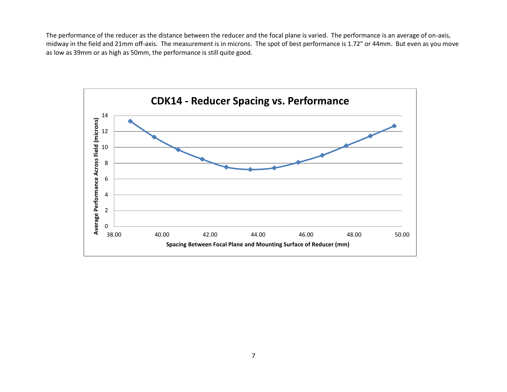The performance of the reducer as the distance between the reducer and the focal plane is varied. The performance is an average of on-axis, midway in the field and 21mm off-axis. The measurement is in microns. The spot of best performance is 1.72" or 44mm. But even as you move as low as 39mm or as high as 50mm, the performance is still quite good.

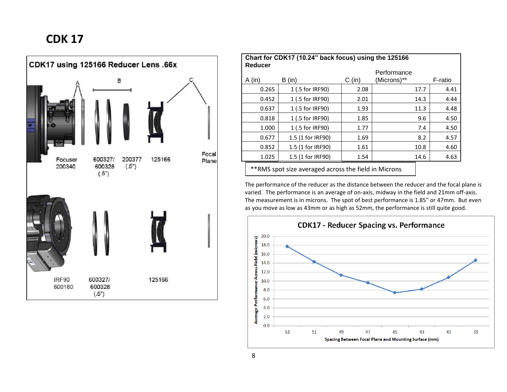# **CDK 17**



| Chart for CDK17 (10.24" back focus) using the 125166<br>Reducer |                   |          |             |         |  |
|-----------------------------------------------------------------|-------------------|----------|-------------|---------|--|
|                                                                 |                   |          | Performance |         |  |
| $A$ (in)                                                        | B (in)            | $C$ (in) | (Microns)** | F-ratio |  |
| 0.265                                                           | 1 (.5 for IRF90)  | 2.08     | 17.7        | 4.41    |  |
| 0.452                                                           | 1 (.5 for IRF90)  | 2.01     | 14.3        | 4.44    |  |
| 0.637                                                           | 1 (.5 for IRF90)  | 1.93     | 11.3        | 4.48    |  |
| 0.818                                                           | 1 (.5 for IRF90)  | 1.85     | 9.6         | 4.50    |  |
| 1.000                                                           | 1 (.5 for IRF90)  | 1.77     | 7.4         | 4.50    |  |
| 0.677                                                           | 1.5 (1 for IRF90) | 1.69     | 8.2         | 4.57    |  |
| 0.852                                                           | 1.5 (1 for IRF90) | 1.61     | 10.8        | 4.60    |  |
| 1.025                                                           | 1.5 (1 for IRF90) | 1.54     | 14.6        | 4.63    |  |
|                                                                 |                   |          |             |         |  |

\*\*RMS spot size averaged across the field in Microns

The performance of the reducer as the distance between the reducer and the focal plane is varied. The performance is an average of on-axis, midway in the field and 21mm off-axis. The measurement is in microns. The spot of best performance is 1.85" or 47mm. But even as you move as low as 43mm or as high as 52mm, the performance is still quite good.

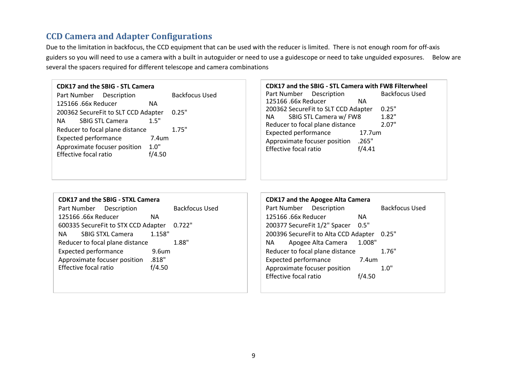# **CCD Camera and Adapter Configurations**

Due to the limitation in backfocus, the CCD equipment that can be used with the reducer is limited. There is not enough room for off-axis guiders so you will need to use a camera with a built in autoguider or need to use a guidescope or need to take unguided exposures. Below are several the spacers required for different telescope and camera combinations

#### **CDK17 and the SBIG - STL Camera**

| Part Number Description             |                        |                   | <b>Backfocus Used</b> |
|-------------------------------------|------------------------|-------------------|-----------------------|
| 125166 .66x Reducer                 |                        | ΝA                |                       |
| 200362 SecureFit to SLT CCD Adapter |                        |                   | 0.25"                 |
| NA L                                | <b>SBIG STL Camera</b> | 1.5"              |                       |
| Reducer to focal plane distance     |                        |                   | 1.75"                 |
| <b>Expected performance</b>         |                        | 7.4 <sub>um</sub> |                       |
| Approximate focuser position        |                        | 1.0"              |                       |
| <b>Effective focal ratio</b>        |                        | f/4.50            |                       |
|                                     |                        |                   |                       |

**CDK17 and the SBIG - STL Camera with FW8 Filterwheel** Part Number Description Backfocus Used 125166 .66x Reducer NA 200362 SecureFit to SLT CCD Adapter 0.25" NA SBIG STL Camera w/ FW8 1.82" Reducer to focal plane distance 2.07" Expected performance 17.7um Approximate focuser position .265" Effective focal ratio f/4.41

## **CDK17 and the SBIG - STXL Camera** Part Number Description Backfocus Used 125166 .66x Reducer NA 600335 SecureFit to STX CCD Adapter 0.722" NA SBIG STXL Camera 1.158" Reducer to focal plane distance  $1.88"$ Expected performance 9.6um Approximate focuser position .818" Effective focal ratio f/4.50

|                              | <b>CDK17 and the Apogee Alta Camera</b> |        |                |
|------------------------------|-----------------------------------------|--------|----------------|
| Part Number Description      |                                         |        | Backfocus Used |
| 125166 .66x Reducer          |                                         | ΝA     |                |
| 200377 SecureFit 1/2" Spacer |                                         | 0.5"   |                |
|                              | 200396 SecureFit to Alta CCD Adapter    |        | 0.25"          |
| NA L                         | Apogee Alta Camera                      | 1.008" |                |
|                              | Reducer to focal plane distance         |        | 1.76"          |
| <b>Expected performance</b>  |                                         | 7.4um  |                |
| Approximate focuser position |                                         |        | 1.O"           |
| Effective focal ratio        |                                         | 4.50   |                |
|                              |                                         |        |                |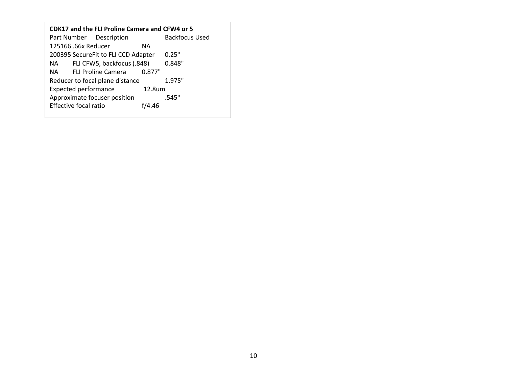| CDK17 and the FLI Proline Camera and CFW4 or 5 |                              |                                     |        |                |  |  |
|------------------------------------------------|------------------------------|-------------------------------------|--------|----------------|--|--|
|                                                |                              | Part Number Description             |        | Backfocus Used |  |  |
|                                                | 125166 .66x Reducer          |                                     | ΝA     |                |  |  |
|                                                |                              | 200395 SecureFit to FLI CCD Adapter |        | 0.25"          |  |  |
| NA L                                           |                              | FLI CFW5, backfocus (.848)          |        | 0.848"         |  |  |
| NA L                                           |                              | <b>FLI Proline Camera</b>           | 0.877" |                |  |  |
|                                                |                              | Reducer to focal plane distance     |        | 1.975"         |  |  |
|                                                | <b>Expected performance</b>  |                                     | 12.8um |                |  |  |
|                                                |                              | Approximate focuser position        |        | .545"          |  |  |
|                                                | <b>Effective focal ratio</b> |                                     | f/4.46 |                |  |  |
|                                                |                              |                                     |        |                |  |  |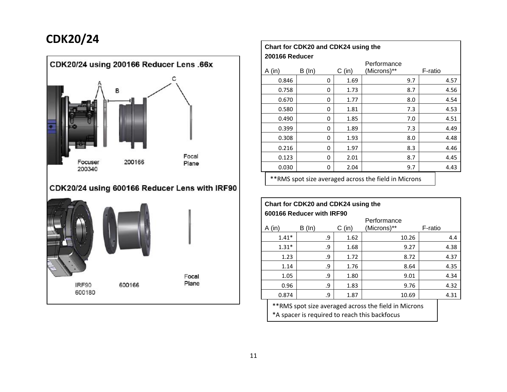# **CDK20/24**



| Chart for CDK20 and CDK24 using the |          |          |             |         |      |  |  |
|-------------------------------------|----------|----------|-------------|---------|------|--|--|
| 200166 Reducer                      |          |          | Performance |         |      |  |  |
| $A$ (in)                            | $B(\ln)$ | $C$ (in) | (Microns)** | F-ratio |      |  |  |
| 0.846                               | 0        | 1.69     | 9.7         |         | 4.57 |  |  |
| 0.758                               | 0        | 1.73     | 8.7         |         | 4.56 |  |  |
| 0.670                               | 0        | 1.77     | 8.0         |         | 4.54 |  |  |
| 0.580                               | 0        | 1.81     | 7.3         |         | 4.53 |  |  |
| 0.490                               | 0        | 1.85     | 7.0         |         | 4.51 |  |  |
| 0.399                               | 0        | 1.89     | 7.3         |         | 4.49 |  |  |
| 0.308                               | 0        | 1.93     | 8.0         |         | 4.48 |  |  |
| 0.216                               | 0        | 1.97     | 8.3         |         | 4.46 |  |  |
| 0.123                               | 0        | 2.01     | 8.7         |         | 4.45 |  |  |
| 0.030                               | 0        | 2.04     | 9.7         |         | 4.43 |  |  |
|                                     |          |          |             |         |      |  |  |

\*\*RMS spot size averaged across the field in Microns

| Chart for CDK20 and CDK24 using the<br>600166 Reducer with IRF90 |          |          |             |         |  |  |  |  |
|------------------------------------------------------------------|----------|----------|-------------|---------|--|--|--|--|
|                                                                  |          |          | Performance |         |  |  |  |  |
| A (in)                                                           | $B(\ln)$ | $C$ (in) | (Microns)** | F-ratio |  |  |  |  |
| $1.41*$                                                          | .9       | 1.62     | 10.26       | 4.4     |  |  |  |  |
| $1.31*$                                                          | .9       | 1.68     | 9.27        | 4.38    |  |  |  |  |
| 1.23                                                             | و.       | 1.72     | 8.72        | 4.37    |  |  |  |  |
| 1.14                                                             | .9       | 1.76     | 8.64        | 4.35    |  |  |  |  |
| 1.05                                                             | 9.       | 1.80     | 9.01        | 4.34    |  |  |  |  |
| 0.96                                                             | .9       | 1.83     | 9.76        | 4.32    |  |  |  |  |
| 0.874                                                            | و.       | 1.87     | 10.69       | 4.31    |  |  |  |  |

\*\*RMS spot size averaged across the field in Microns \*A spacer is required to reach this backfocus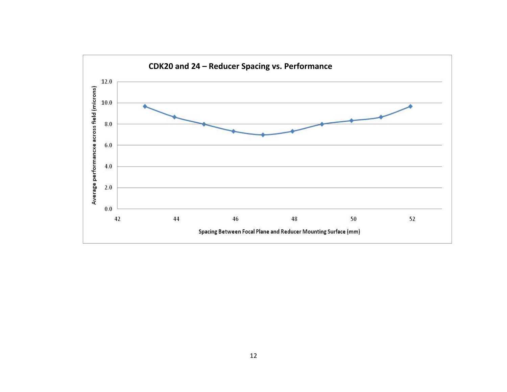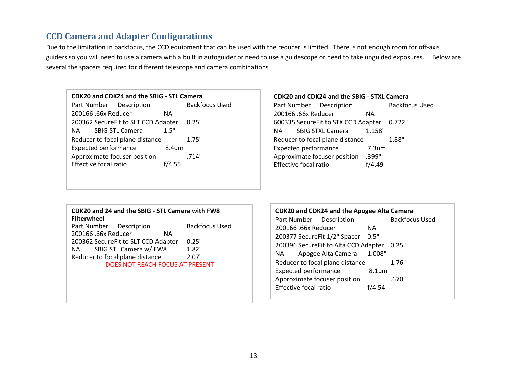# **CCD Camera and Adapter Configurations**

Due to the limitation in backfocus, the CCD equipment that can be used with the reducer is limited. There is not enough room for off-axis guiders so you will need to use a camera with a built in autoguider or need to use a guidescope or need to take unguided exposures. Below are several the spacers required for different telescope and camera combinations

#### **CDK20 and CDK24 and the SBIG - STL Camera**

Part Number Description Backfocus Used 200166 .66x Reducer NA 200362 SecureFit to SLT CCD Adapter 0.25" NA SBIG STL Camera 1.5" Reducer to focal plane distance  $1.75"$ Expected performance 8.4um Approximate focuser position .714" Effective focal ratio f/4.55

### **CDK20 and CDK24 and the SBIG - STXL Camera** Part Number Description Backfocus Used 200166 .66x Reducer NA 600335 SecureFit to STX CCD Adapter 0.722" NA SBIG STXL Camera 1.158" Reducer to focal plane distance 1.88" Expected performance 7.3um Approximate focuser position .399"<br>Effective focal ratio f/4.49 Effective focal ratio

# **CDK20 and 24 and the SBIG - STL Camera with FW8 Filterwheel**

Part Number Description Backfocus Used 200166 .66x Reducer NA 200362 SecureFit to SLT CCD Adapter 0.25" NA SBIG STL Camera w/ FW8 1.82" Reducer to focal plane distance 2.07" DOES NOT REACH FOCUS AT PRESENT

**CDK20 and CDK24 and the Apogee Alta Camera** Part Number Description Backfocus Used 200166 .66x Reducer NA 200377 SecureFit 1/2" Spacer 0.5" 200396 SecureFit to Alta CCD Adapter 0.25" NA Apogee Alta Camera 1.008" Reducer to focal plane distance  $1.76"$ Expected performance 8.1um Approximate focuser position .670" Effective focal ratio f/4.54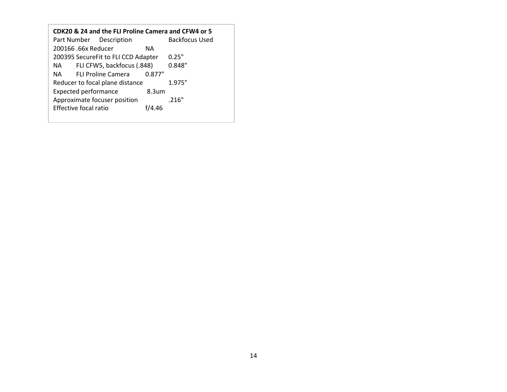| CDK20 & 24 and the FLI Proline Camera and CFW4 or 5 |                            |        |  |  |  |  |  |
|-----------------------------------------------------|----------------------------|--------|--|--|--|--|--|
| Part Number Description                             | Backfocus Used             |        |  |  |  |  |  |
| 200166 .66x Reducer                                 | ΝA                         |        |  |  |  |  |  |
| 200395 SecureFit to FLI CCD Adapter                 | 0.25"                      |        |  |  |  |  |  |
| NA L                                                | FLI CFW5, backfocus (.848) | 0.848" |  |  |  |  |  |
| NA L                                                | <b>FLI Proline Camera</b>  | 0.877" |  |  |  |  |  |
| Reducer to focal plane distance                     | 1.975"                     |        |  |  |  |  |  |
| <b>Expected performance</b>                         |                            |        |  |  |  |  |  |
| Approximate focuser position                        | .216"                      |        |  |  |  |  |  |
| Effective focal ratio<br>f/4.46                     |                            |        |  |  |  |  |  |
|                                                     |                            |        |  |  |  |  |  |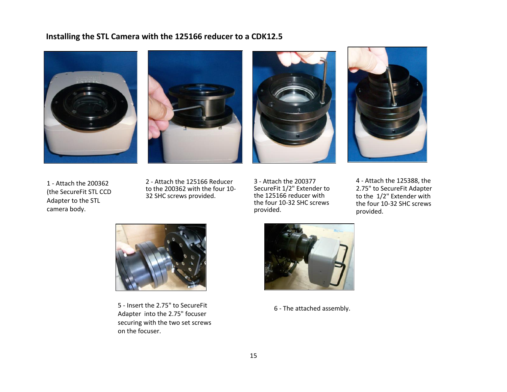# **Installing the STL Camera with the 125166 reducer to a CDK12.5**









1 - Attach the 200362 (the SecureFit STL CCD Adapter to the STL camera body.

2 - Attach the 125166 Reducer to the 200362 with the four 10- 32 SHC screws provided.

3 - Attach the 200377 SecureFit 1/2" Extender to the 125166 reducer with the four 10-32 SHC screws provided.

4 - Attach the 125388, the 2.75" to SecureFit Adapter to the 1/2" Extender with the four 10-32 SHC screws provided.



5 - Insert the 2.75" to SecureFit Adapter into the 2.75" focuser securing with the two set screws on the focuser.



6 - The attached assembly.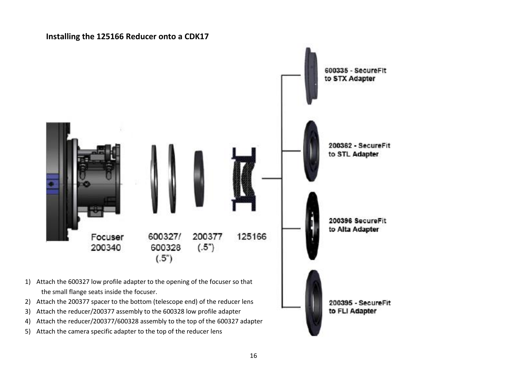### **Installing the 125166 Reducer onto a CDK17**

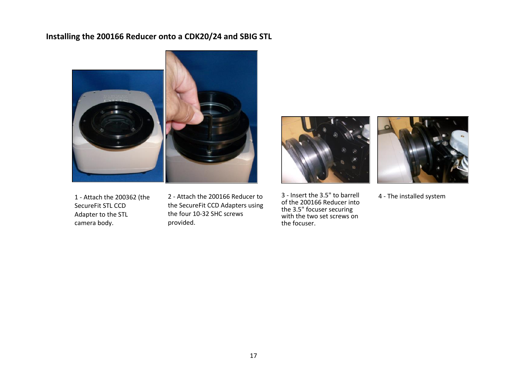# **Installing the 200166 Reducer onto a CDK20/24 and SBIG STL**



1 - Attach the 200362 (the SecureFit STL CCD Adapter to the STL camera body.

2 - Attach the 200166 Reducer to the SecureFit CCD Adapters using the four 10-32 SHC screws provided.



3 - Insert the 3.5" to barrell of the 200166 Reducer into the 3.5" focuser securing with the two set screws on the focuser.



4 - The installed system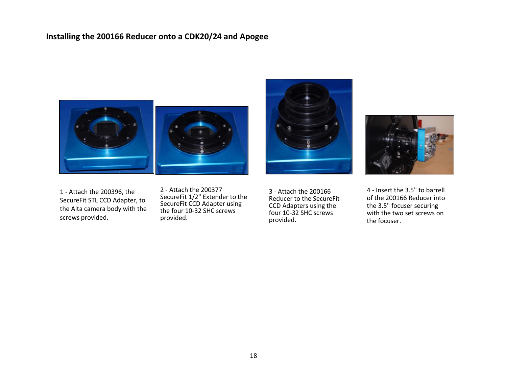# **Installing the 200166 Reducer onto a CDK20/24 and Apogee**



1 - Attach the 200396, the SecureFit STL CCD Adapter, to the Alta camera body with the screws provided.

2 - Attach the 200377 SecureFit 1/2" Extender to the SecureFit CCD Adapter using the four 10-32 SHC screws provided.

3 - Attach the 200166 Reducer to the SecureFit CCD Adapters using the four 10-32 SHC screws provided.



4 - Insert the 3.5" to barrell of the 200166 Reducer into the 3.5" focuser securing with the two set screws on the focuser.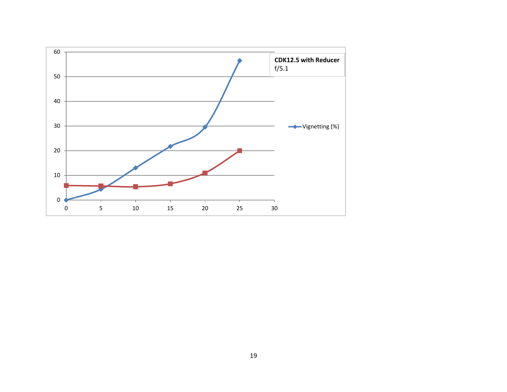